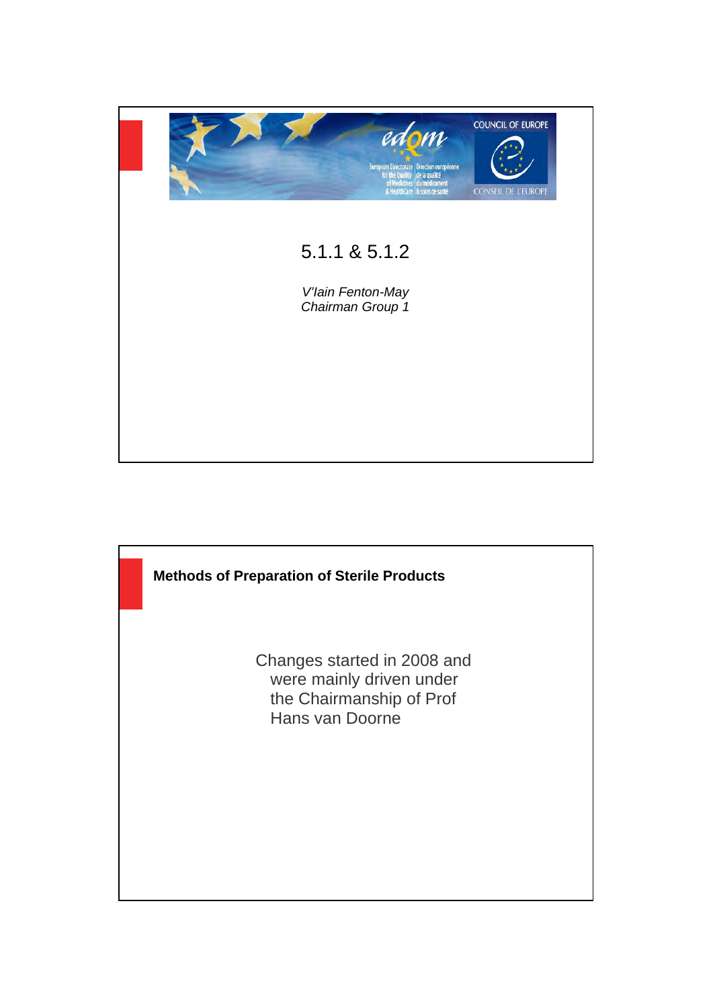

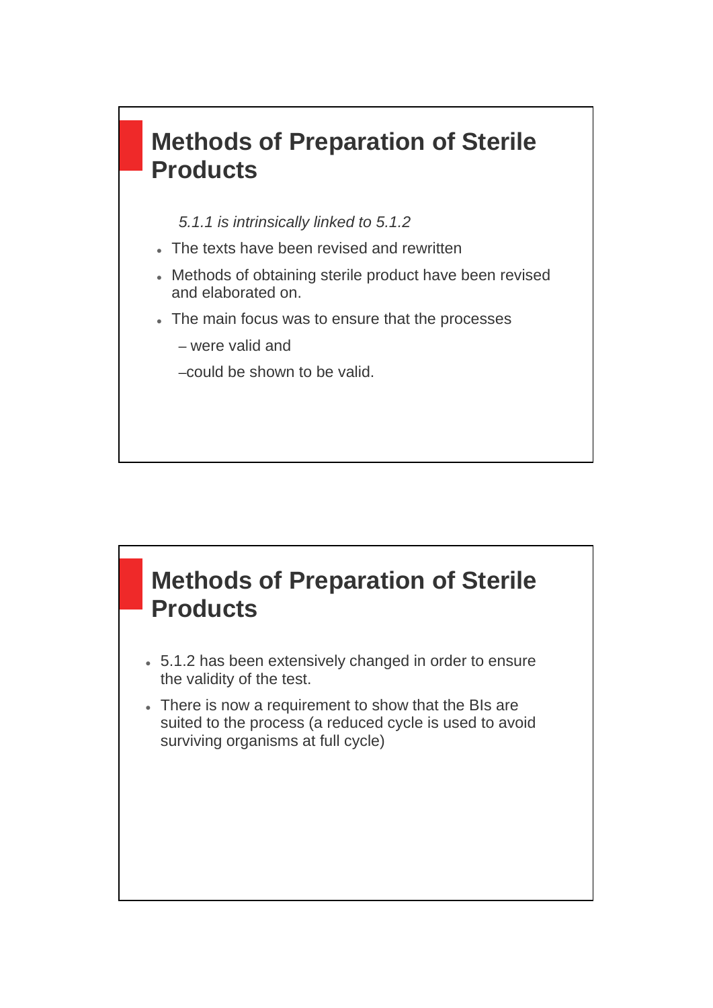# **Methods of Preparation of Sterile Products**

*5.1.1 is intrinsically linked to 5.1.2*

- The texts have been revised and rewritten
- Methods of obtaining sterile product have been revised and elaborated on.
- The main focus was to ensure that the processes
	- were valid and
	- –could be shown to be valid.

### **Methods of Preparation of Sterile Products**

- 5.1.2 has been extensively changed in order to ensure the validity of the test.
- There is now a requirement to show that the BIs are suited to the process (a reduced cycle is used to avoid surviving organisms at full cycle)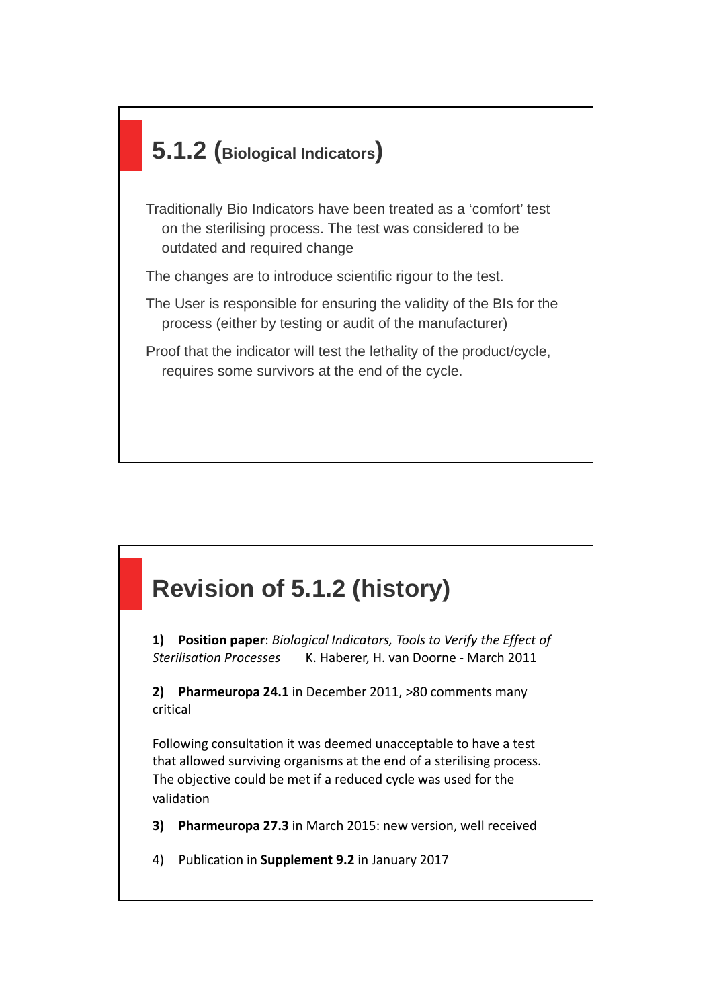# **5.1.2 (Biological Indicators)**

Traditionally Bio Indicators have been treated as a 'comfort' test on the sterilising process. The test was considered to be outdated and required change

The changes are to introduce scientific rigour to the test.

The User is responsible for ensuring the validity of the BIs for the process (either by testing or audit of the manufacturer)

Proof that the indicator will test the lethality of the product/cycle, requires some survivors at the end of the cycle.

# **Revision of 5.1.2 (history)**

**1) Position paper**: *Biological Indicators, Tools to Verify the Effect of Sterilisation Processes* K. Haberer, H. van Doorne - March 2011

**2) Pharmeuropa 24.1** in December 2011, >80 comments many critical

Following consultation it was deemed unacceptable to have a test that allowed surviving organisms at the end of a sterilising process. The objective could be met if a reduced cycle was used for the validation

- **3) Pharmeuropa 27.3** in March 2015: new version, well received
- 4) Publication in **Supplement 9.2** in January 2017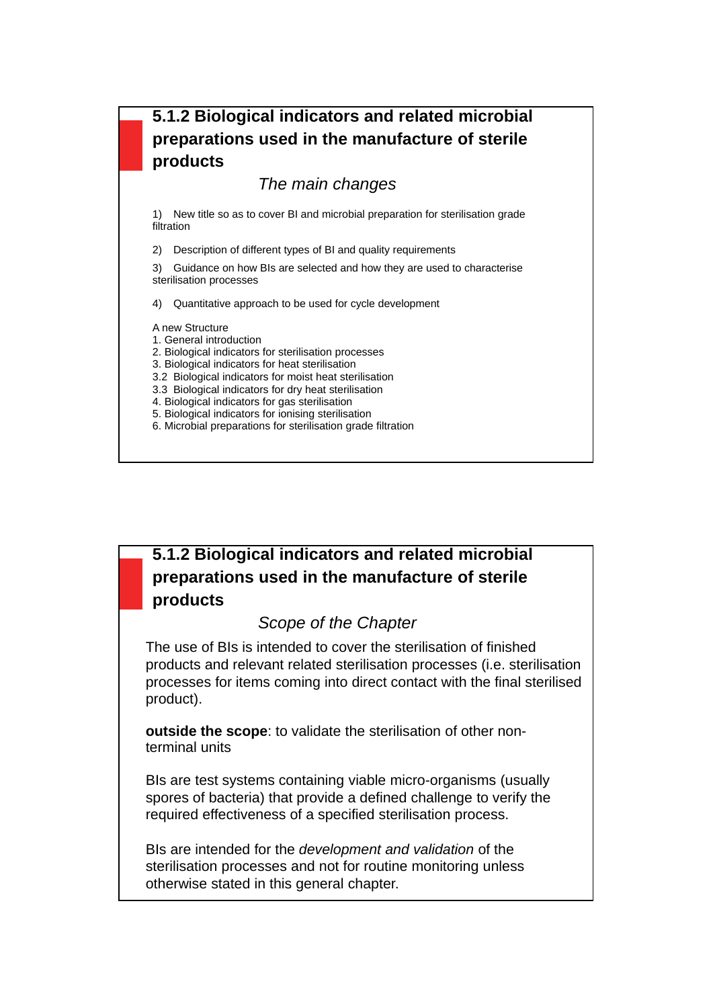#### **5.1.2 Biological indicators and related microbial preparations used in the manufacture of sterile products**

#### *The main changes*

1) New title so as to cover BI and microbial preparation for sterilisation grade filtration

2) Description of different types of BI and quality requirements

3) Guidance on how BIs are selected and how they are used to characterise sterilisation processes

4) Quantitative approach to be used for cycle development

A new Structure

- 1. General introduction
- 2. Biological indicators for sterilisation processes
- 3. Biological indicators for heat sterilisation
- 3.2 Biological indicators for moist heat sterilisation
- 3.3 Biological indicators for dry heat sterilisation
- 4. Biological indicators for gas sterilisation
- 5. Biological indicators for ionising sterilisation
- 6. Microbial preparations for sterilisation grade filtration

#### **5.1.2 Biological indicators and related microbial preparations used in the manufacture of sterile products**

#### *Scope of the Chapter*

The use of BIs is intended to cover the sterilisation of finished products and relevant related sterilisation processes (i.e. sterilisation processes for items coming into direct contact with the final sterilised product).

**outside the scope**: to validate the sterilisation of other nonterminal units

BIs are test systems containing viable micro-organisms (usually spores of bacteria) that provide a defined challenge to verify the required effectiveness of a specified sterilisation process.

BIs are intended for the *development and validation* of the sterilisation processes and not for routine monitoring unless otherwise stated in this general chapter.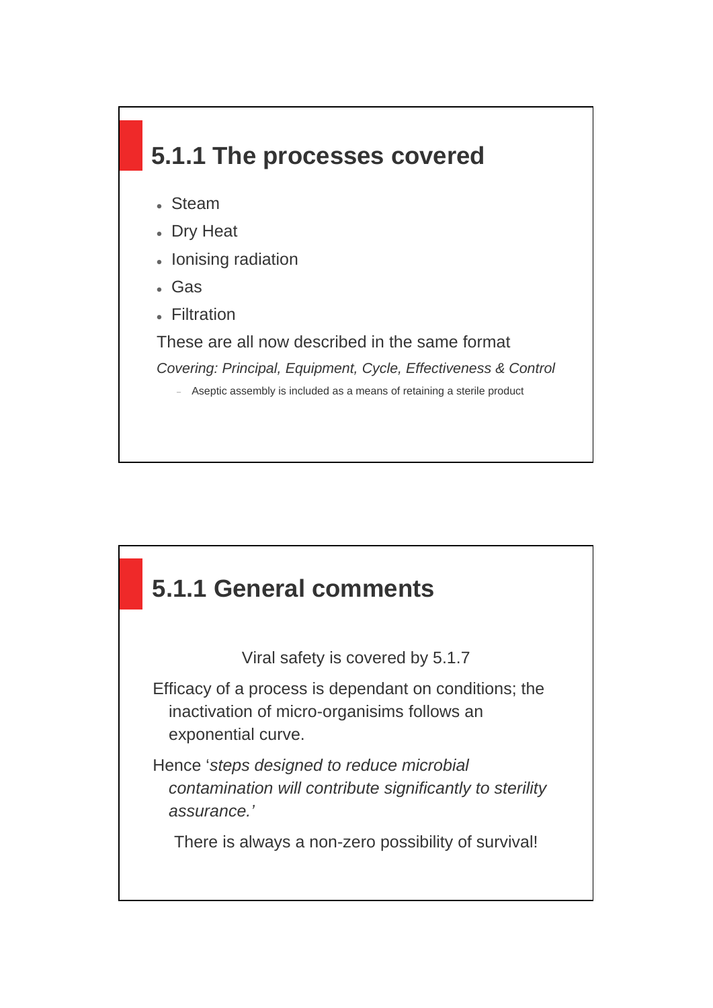# **5.1.1 The processes covered**

- Steam
- Dry Heat
- Ionising radiation
- Gas
- Filtration

These are all now described in the same format

*Covering: Principal, Equipment, Cycle, Effectiveness & Control*

- Aseptic assembly is included as a means of retaining a sterile product

### **5.1.1 General comments**

Viral safety is covered by 5.1.7

Efficacy of a process is dependant on conditions; the inactivation of micro-organisims follows an exponential curve.

Hence '*steps designed to reduce microbial contamination will contribute significantly to sterility assurance.'*

There is always a non-zero possibility of survival!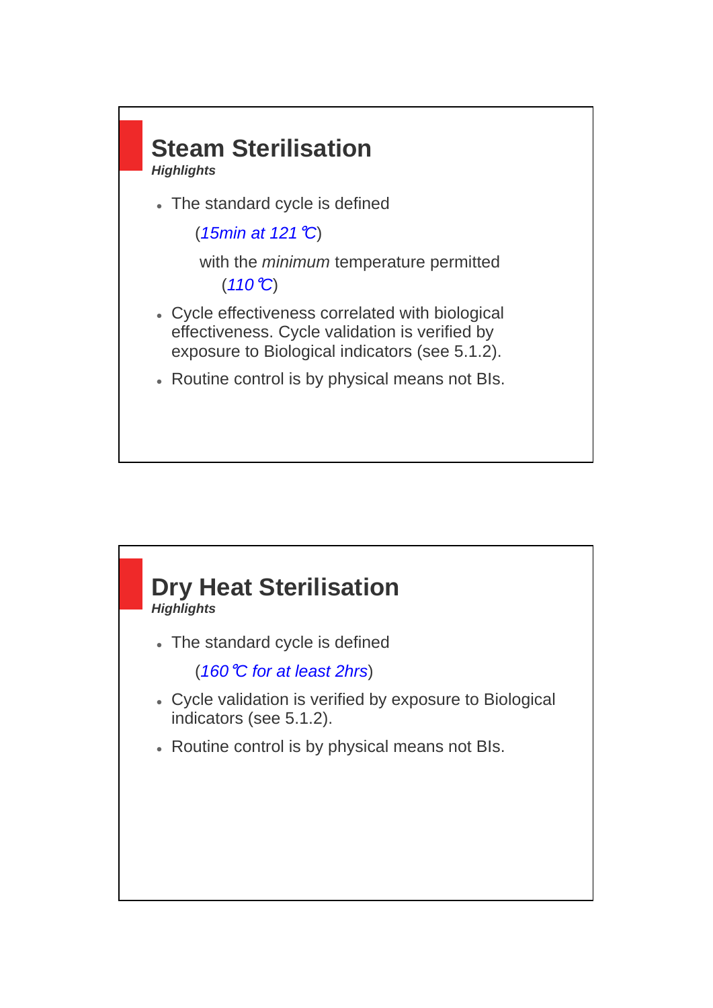

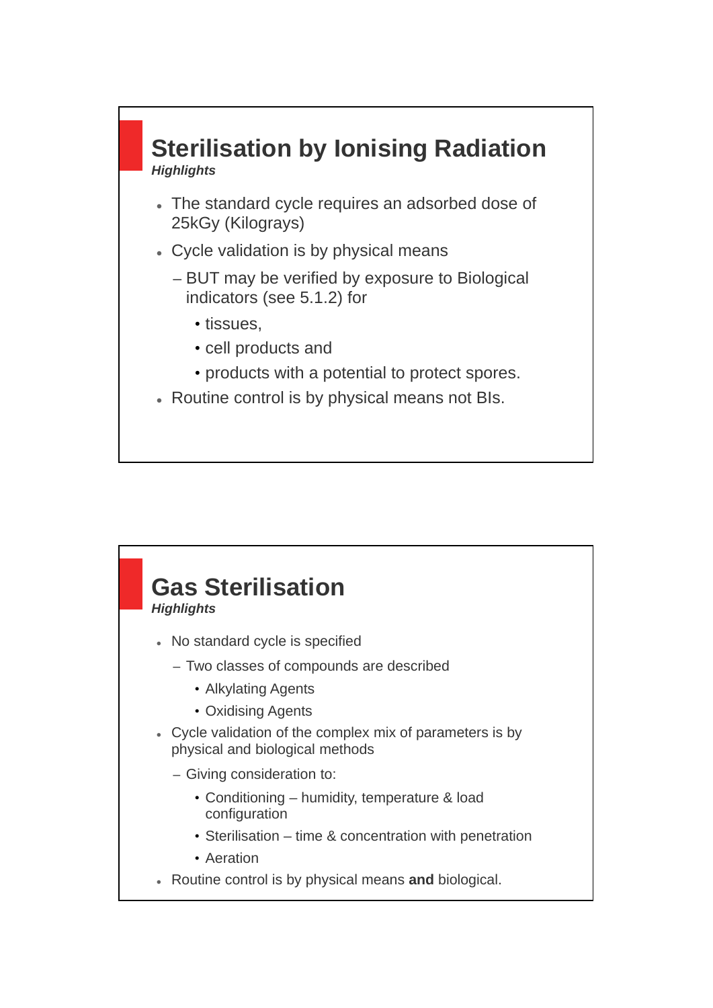

- The standard cycle requires an adsorbed dose of 25kGy (Kilograys)
- Cycle validation is by physical means
	- BUT may be verified by exposure to Biological indicators (see 5.1.2) for
		- tissues,
		- cell products and
		- products with a potential to protect spores.
- Routine control is by physical means not BIs.

#### **Gas Sterilisation** *Highlights* No standard cycle is specified – Two classes of compounds are described • Alkylating Agents • Oxidising Agents Cycle validation of the complex mix of parameters is by physical and biological methods – Giving consideration to: • Conditioning – humidity, temperature & load configuration • Sterilisation – time & concentration with penetration • Aeration Routine control is by physical means **and** biological.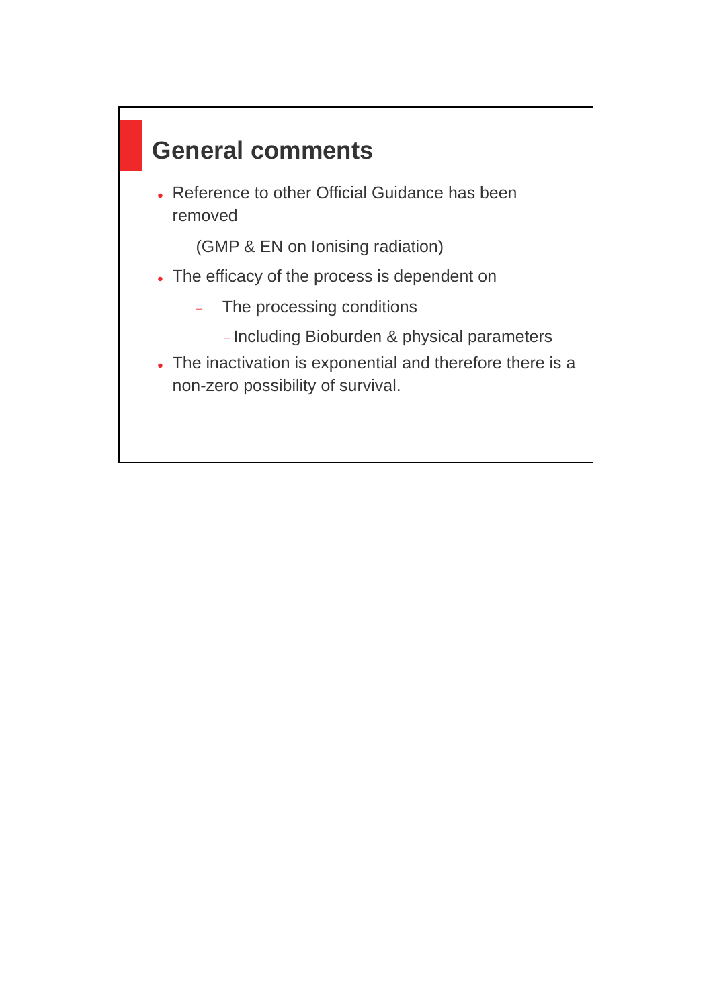# **General comments**

• Reference to other Official Guidance has been removed

(GMP & EN on Ionising radiation)

- The efficacy of the process is dependent on
	- The processing conditions
		- Including Bioburden & physical parameters
- The inactivation is exponential and therefore there is a non-zero possibility of survival.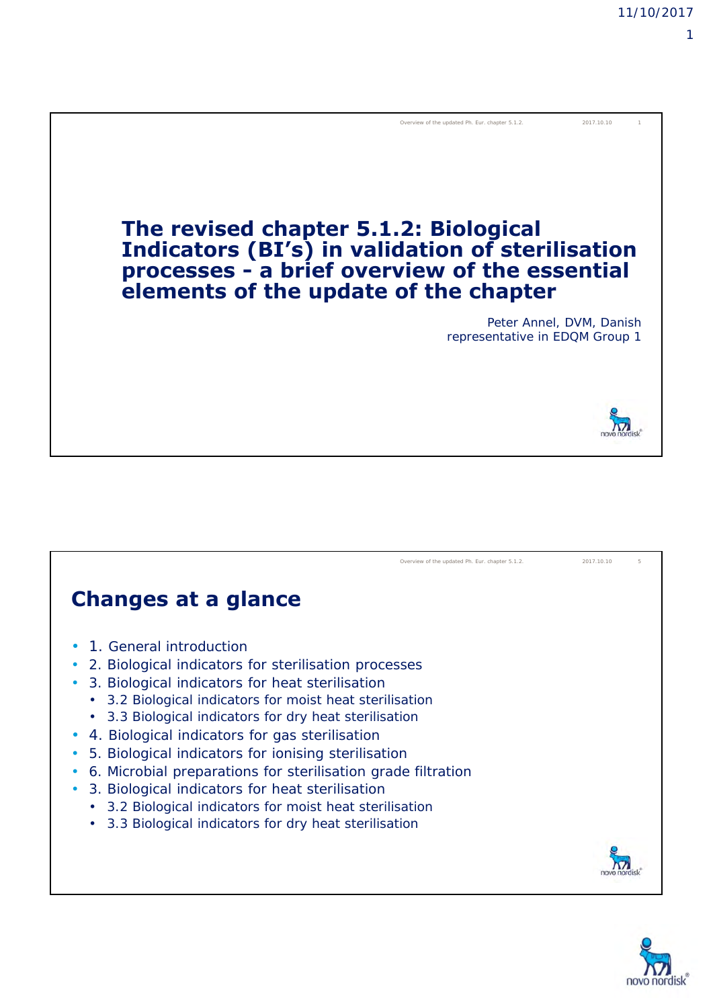

#### **Changes at a glance**

- 1. General introduction
- 2. Biological indicators for sterilisation processes
- 3. Biological indicators for heat sterilisation
	- 3.2 Biological indicators for moist heat sterilisation
	- 3.3 Biological indicators for dry heat sterilisation
- 4. Biological indicators for gas sterilisation
- 5. Biological indicators for ionising sterilisation
- 6. Microbial preparations for sterilisation grade filtration
- 3. Biological indicators for heat sterilisation
	- 3.2 Biological indicators for moist heat sterilisation
	- 3.3 Biological indicators for dry heat sterilisation



Overview of the updated Ph. Eur. chapter 5.1.2. 2017.10.10

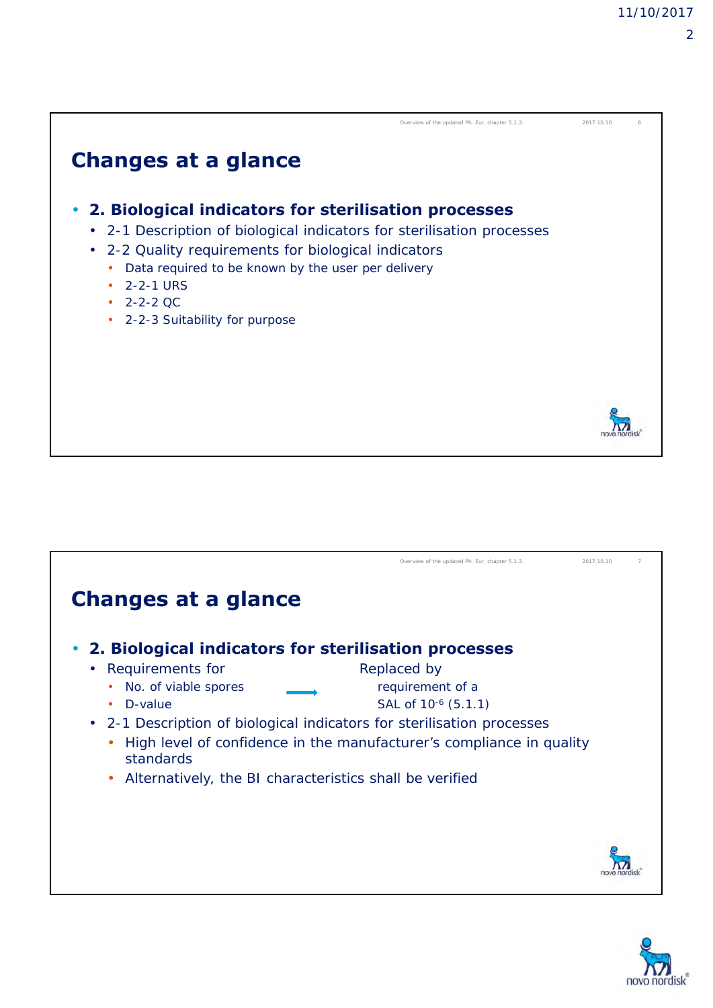$\overline{2}$ 

# **Changes at a glance** • **2. Biological indicators for sterilisation processes** • 2-1 Description of biological indicators for sterilisation processes • 2-2 Quality requirements for biological indicators • Data required to be known by the user per delivery • 2-2-1 URS  $\cdot$  2-2-2 QC • 2-2-3 Suitability for purpose Overview of the updated Ph. Eur. chapter 5.1.2. 2017.10.10



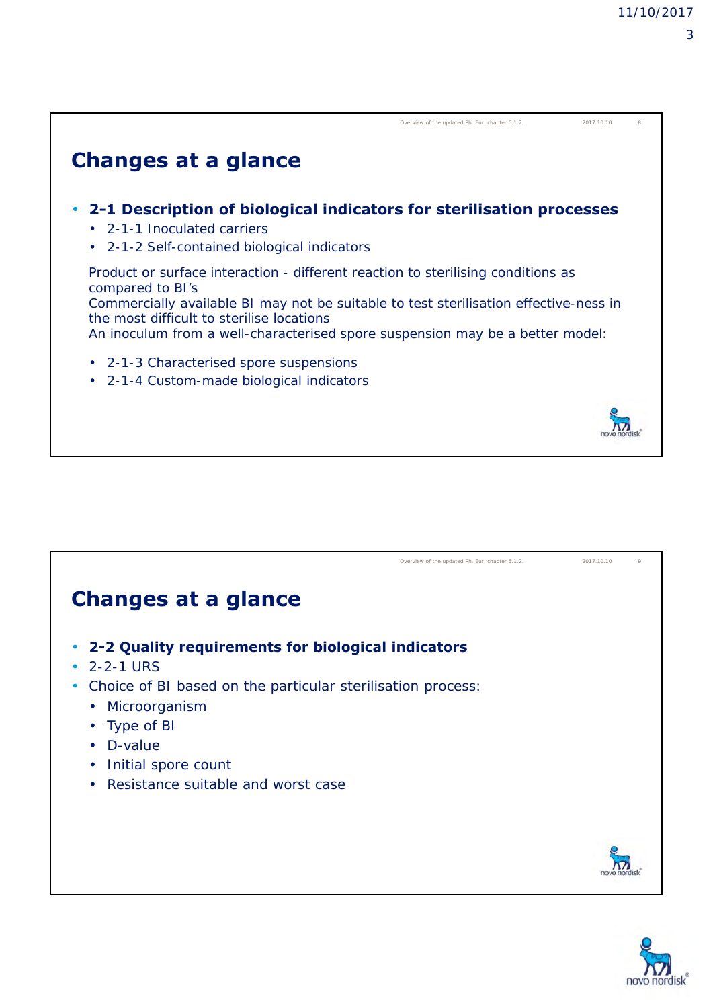|                                                                                                                                                                                                                                                                                                                             | Overview of the updated Ph. Eur. chapter 5.1.2. | 2017.10.10 |  |
|-----------------------------------------------------------------------------------------------------------------------------------------------------------------------------------------------------------------------------------------------------------------------------------------------------------------------------|-------------------------------------------------|------------|--|
| <b>Changes at a glance</b>                                                                                                                                                                                                                                                                                                  |                                                 |            |  |
| 2-1 Description of biological indicators for sterilisation processes<br>$\bullet$<br>$\cdot$ 2-1-1 Inoculated carriers<br>2-1-2 Self-contained biological indicators<br>$\bullet$                                                                                                                                           |                                                 |            |  |
| Product or surface interaction - different reaction to sterilising conditions as<br>compared to BI's<br>Commercially available BI may not be suitable to test sterilisation effective-ness in<br>the most difficult to sterilise locations<br>An inoculum from a well-characterised spore suspension may be a better model: |                                                 |            |  |
| 2-1-3 Characterised spore suspensions<br>$\bullet$<br>2-1-4 Custom-made biological indicators<br>٠                                                                                                                                                                                                                          |                                                 |            |  |
|                                                                                                                                                                                                                                                                                                                             |                                                 |            |  |



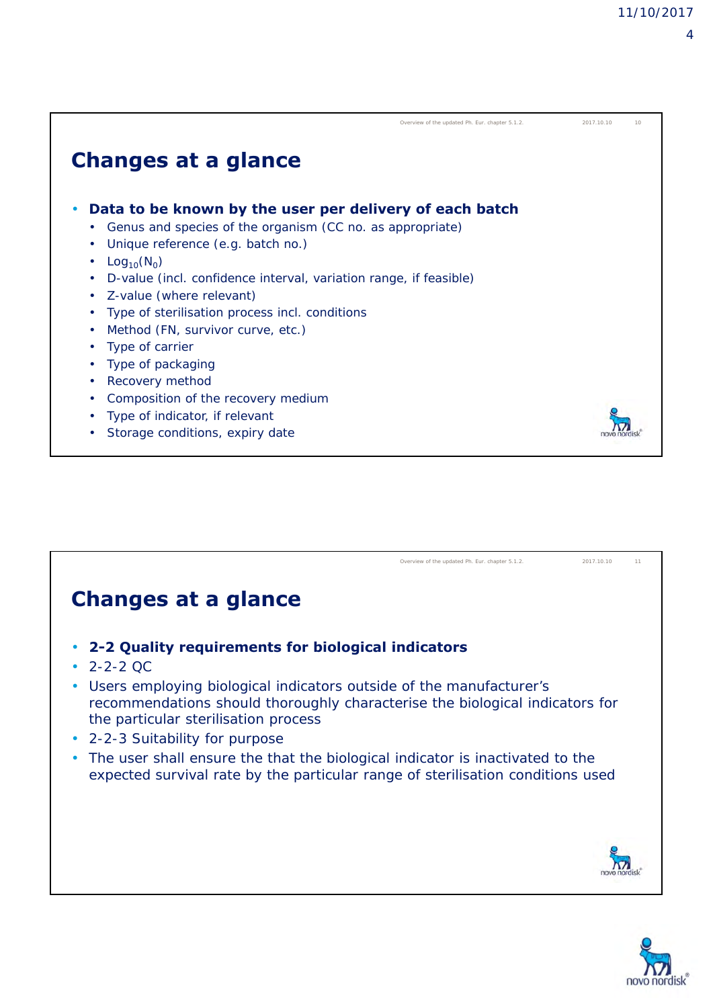| × |
|---|

|                                                                                | Overview of the updated Ph. Eur. chapter 5.1.2. | 2017.10.10 | 10 |
|--------------------------------------------------------------------------------|-------------------------------------------------|------------|----|
| <b>Changes at a glance</b>                                                     |                                                 |            |    |
| Data to be known by the user per delivery of each batch                        |                                                 |            |    |
| Genus and species of the organism (CC no. as appropriate)<br>٠                 |                                                 |            |    |
| Unique reference (e.g. batch no.)<br>٠                                         |                                                 |            |    |
| Log <sub>10</sub> (N <sub>0</sub> )<br>$\bullet$                               |                                                 |            |    |
| D-value (incl. confidence interval, variation range, if feasible)<br>$\bullet$ |                                                 |            |    |
| Z-value (where relevant)<br>٠                                                  |                                                 |            |    |
| Type of sterilisation process incl. conditions<br>٠                            |                                                 |            |    |
| Method (FN, survivor curve, etc.)<br>٠                                         |                                                 |            |    |
| Type of carrier<br>٠                                                           |                                                 |            |    |
| Type of packaging<br>٠                                                         |                                                 |            |    |
| Recovery method<br>٠                                                           |                                                 |            |    |
| Composition of the recovery medium<br>٠                                        |                                                 |            |    |
| Type of indicator, if relevant<br>٠                                            |                                                 |            |    |
| Storage conditions, expiry date                                                |                                                 |            |    |

# Overview of the updated Ph. Eur. chapter 5.1.2. 2017.10.10 11 **Changes at a glance** • **2-2 Quality requirements for biological indicators**  $\cdot$  2-2-2 QC • Users employing biological indicators outside of the manufacturer's recommendations should thoroughly characterise the biological indicators for the particular sterilisation process • 2-2-3 Suitability for purpose • The user shall ensure the that the biological indicator is inactivated to the expected survival rate by the particular range of sterilisation conditions used  $\overline{v}$

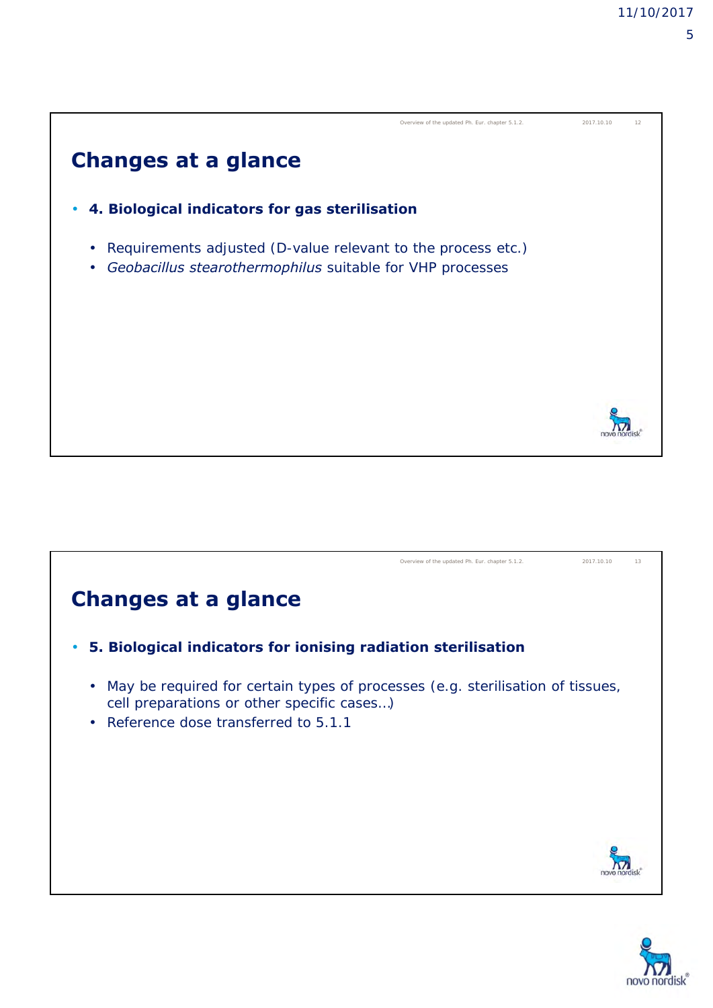



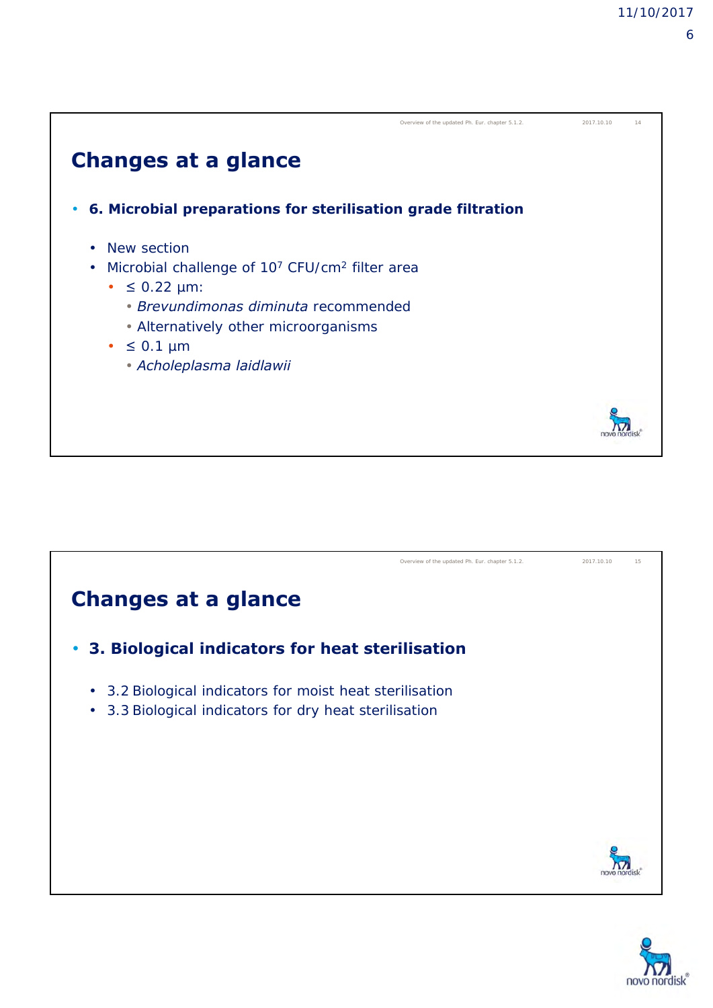



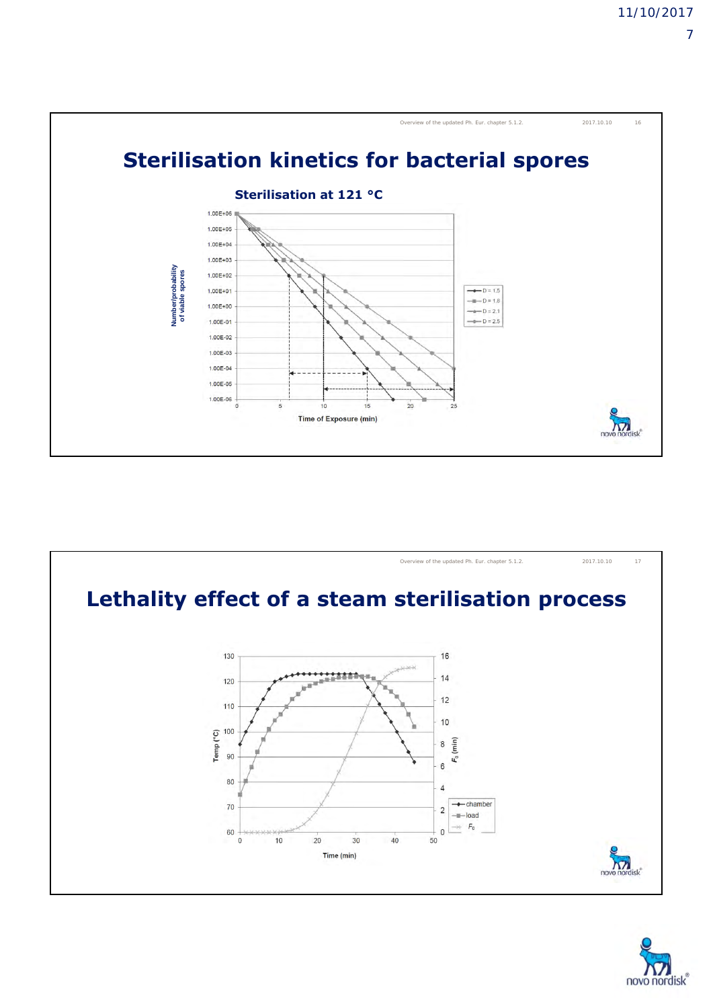



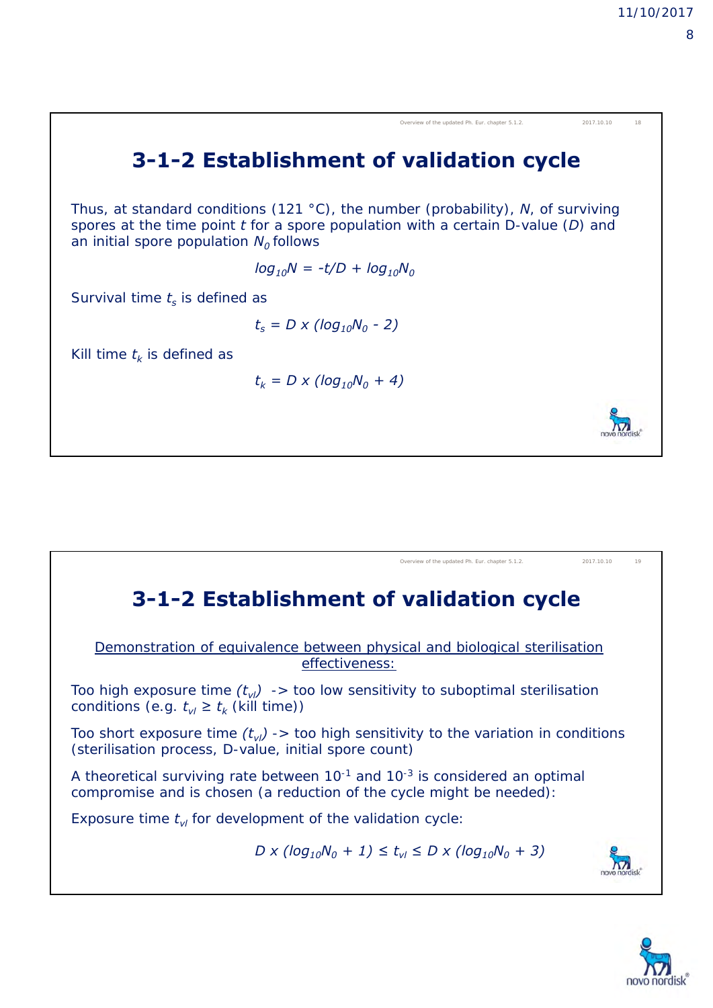3-1-2 Establishment of validation cycle  
\nThus, at standard conditions (121 °C), the number (probability), *N*, of surviving  
\nspores at the time point *t* for a spore population with a certain D-value (*D*) and  
\nan initial spore population 
$$
N_0
$$
 follows  
\n $log_{10}N = -t/D + log_{10}N_0$   
\nSurvival time  $t_s$  is defined as  
\n $t_s = D \times (log_{10}N_0 - 2)$   
\nKill time  $t_k$  is defined as  
\n $t_k = D \times (log_{10}N_0 + 4)$ 

#### Overview of the updated Ph. Eur. chapter 5.1.2. 2017.10.10 19**3-1-2 Establishment of validation cycle** Demonstration of equivalence between physical and biological sterilisation effectiveness: Too high exposure time  $(t_{vl}) \rightarrow$  too low sensitivity to suboptimal sterilisation conditions (e.g.  $t_{vl} \geq t_k$  (kill time)) Too short exposure time  $(t_{\nu l}) \rightarrow$  too high sensitivity to the variation in conditions (sterilisation process, D-value, initial spore count) A theoretical surviving rate between 10-1 and 10-3 is considered an optimal compromise and is chosen (a reduction of the cycle might be needed): Exposure time  $t_{vl}$  for development of the validation cycle:  $D \times (log_{10}N_0 + 1) \le t_{vl} \le D \times (log_{10}N_0 + 3)$  $\overline{\mathbf{M}}$